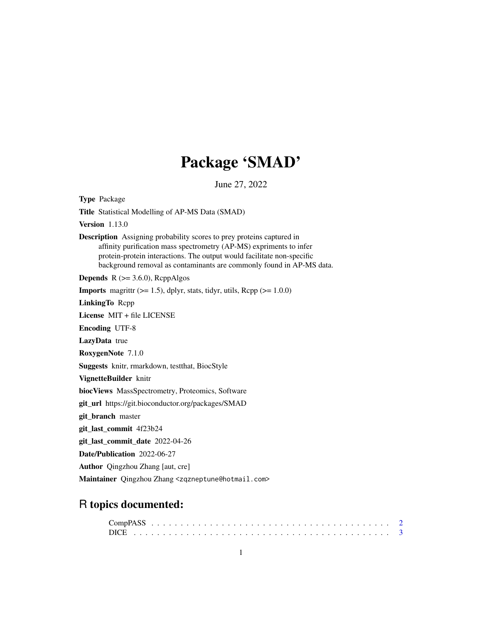# Package 'SMAD'

June 27, 2022

Type Package Title Statistical Modelling of AP-MS Data (SMAD) Version 1.13.0 Description Assigning probability scores to prey proteins captured in affinity purification mass spectrometry (AP-MS) expriments to infer protein-protein interactions. The output would facilitate non-specific background removal as contaminants are commonly found in AP-MS data. **Depends**  $R$  ( $>= 3.6.0$ ), RcppAlgos **Imports** magrittr  $(>= 1.5)$ , dplyr, stats, tidyr, utils, Rcpp  $(>= 1.0.0)$ LinkingTo Rcpp License MIT + file LICENSE Encoding UTF-8 LazyData true RoxygenNote 7.1.0 Suggests knitr, rmarkdown, testthat, BiocStyle VignetteBuilder knitr biocViews MassSpectrometry, Proteomics, Software git\_url https://git.bioconductor.org/packages/SMAD git\_branch master git\_last\_commit 4f23b24 git\_last\_commit\_date 2022-04-26 Date/Publication 2022-06-27 Author Qingzhou Zhang [aut, cre] Maintainer Qingzhou Zhang <zqzneptune@hotmail.com>

## R topics documented: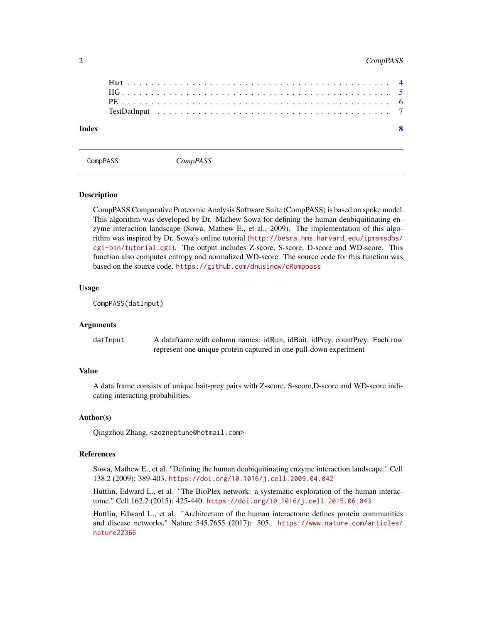#### <span id="page-1-0"></span>2 CompPASS

| $\mathbf{Q}$ |
|--------------|
|              |
|              |
|              |
|              |
|              |

CompPASS *CompPASS*

#### Description

CompPASS Comparative Proteomic Analysis Software Suite (CompPASS) is based on spoke model. This algorithm was developed by Dr. Mathew Sowa for defining the human deubiquitinating enzyme interaction landscape (Sowa, Mathew E., et al., 2009). The implementation of this algorithm was inspired by Dr. Sowa's online tutorial ([http://besra.hms.harvard.edu/ipmsmsdbs/](http://besra.hms.harvard.edu/ipmsmsdbs/cgi-bin/tutorial.cgi) [cgi-bin/tutorial.cgi](http://besra.hms.harvard.edu/ipmsmsdbs/cgi-bin/tutorial.cgi)). The output includes Z-score, S-score, D-score and WD-score. This function also computes entropy and normalized WD-score. The source code for this function was based on the source code. <https://github.com/dnusinow/cRomppass>

#### Usage

CompPASS(datInput)

#### Arguments

| datInput | A dataframe with column names: idRun, idBait, idPrey, countPrey. Each row |
|----------|---------------------------------------------------------------------------|
|          | represent one unique protein captured in one pull-down experiment         |

#### Value

A data frame consists of unique bait-prey pairs with Z-score, S-score,D-score and WD-score indicating interacting probabilities.

#### Author(s)

Qingzhou Zhang, <zqzneptune@hotmail.com>

#### References

Sowa, Mathew E., et al. "Defining the human deubiquitinating enzyme interaction landscape." Cell 138.2 (2009): 389-403. <https://doi.org/10.1016/j.cell.2009.04.042>

Huttlin, Edward L., et al. "The BioPlex network: a systematic exploration of the human interactome." Cell 162.2 (2015): 425-440. <https://doi.org/10.1016/j.cell.2015.06.043>

Huttlin, Edward L., et al. "Architecture of the human interactome defines protein communities and disease networks." Nature 545.7655 (2017): 505. [https://www.nature.com/articles/](https://www.nature.com/articles/nature22366) [nature22366](https://www.nature.com/articles/nature22366)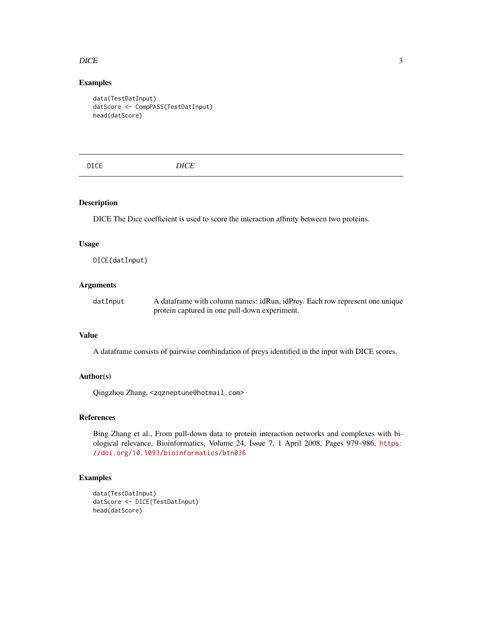#### <span id="page-2-0"></span> $DICE$  3

### Examples

```
data(TestDatInput)
datScore <- CompPASS(TestDatInput)
head(datScore)
```
#### Description

DICE The Dice coefficient is used to score the interaction affinity between two proteins.

#### Usage

DICE(datInput)

## Arguments

| datInput | A dataframe with column names: idRun, idPrey. Each row represent one unique |
|----------|-----------------------------------------------------------------------------|
|          | protein captured in one pull-down experiment.                               |

#### Value

A dataframe consists of pairwise combindation of preys identified in the input with DICE scores.

#### Author(s)

Qingzhou Zhang, <zqzneptune@hotmail.com>

#### References

Bing Zhang et al., From pull-down data to protein interaction networks and complexes with biological relevance, Bioinformatics, Volume 24, Issue 7, 1 April 2008, Pages 979–986, [https:](https://doi.org/10.1093/bioinformatics/btn036) [//doi.org/10.1093/bioinformatics/btn036](https://doi.org/10.1093/bioinformatics/btn036)

```
data(TestDatInput)
datScore <- DICE(TestDatInput)
head(datScore)
```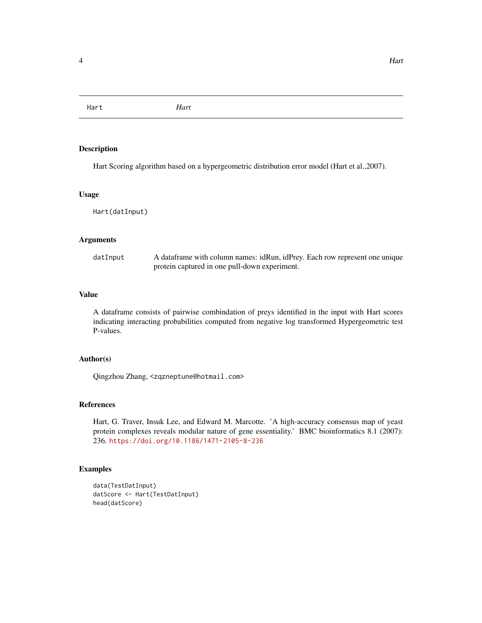<span id="page-3-0"></span>Hart *Hart*

#### Description

Hart Scoring algorithm based on a hypergeometric distribution error model (Hart et al.,2007).

#### Usage

Hart(datInput)

#### Arguments

| datInput | A dataframe with column names: idRun, idPrey. Each row represent one unique |
|----------|-----------------------------------------------------------------------------|
|          | protein captured in one pull-down experiment.                               |

#### Value

A dataframe consists of pairwise combindation of preys identified in the input with Hart scores indicating interacting probabilities computed from negative log transformed Hypergeometric test P-values.

#### Author(s)

Qingzhou Zhang, <zqzneptune@hotmail.com>

#### References

Hart, G. Traver, Insuk Lee, and Edward M. Marcotte. 'A high-accuracy consensus map of yeast protein complexes reveals modular nature of gene essentiality.' BMC bioinformatics 8.1 (2007): 236. <https://doi.org/10.1186/1471-2105-8-236>

```
data(TestDatInput)
datScore <- Hart(TestDatInput)
head(datScore)
```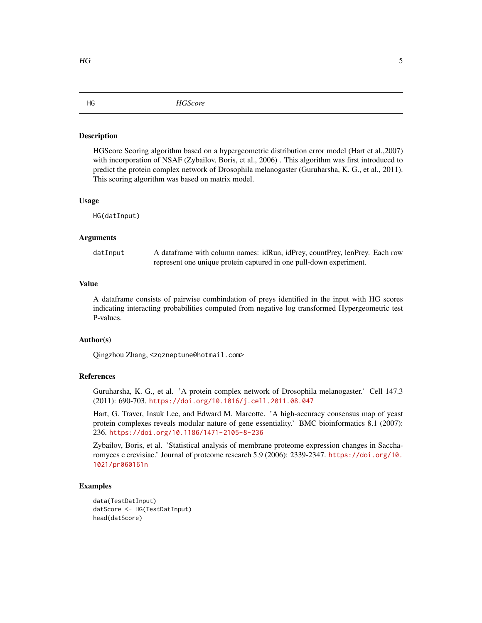#### <span id="page-4-0"></span>Description

HGScore Scoring algorithm based on a hypergeometric distribution error model (Hart et al.,2007) with incorporation of NSAF (Zybailov, Boris, et al., 2006) . This algorithm was first introduced to predict the protein complex network of Drosophila melanogaster (Guruharsha, K. G., et al., 2011). This scoring algorithm was based on matrix model.

#### Usage

HG(datInput)

#### Arguments

datInput A dataframe with column names: idRun, idPrey, countPrey, lenPrey. Each row represent one unique protein captured in one pull-down experiment.

#### Value

A dataframe consists of pairwise combindation of preys identified in the input with HG scores indicating interacting probabilities computed from negative log transformed Hypergeometric test P-values.

#### Author(s)

Qingzhou Zhang, <zqzneptune@hotmail.com>

#### References

Guruharsha, K. G., et al. 'A protein complex network of Drosophila melanogaster.' Cell 147.3 (2011): 690-703. <https://doi.org/10.1016/j.cell.2011.08.047>

Hart, G. Traver, Insuk Lee, and Edward M. Marcotte. 'A high-accuracy consensus map of yeast protein complexes reveals modular nature of gene essentiality.' BMC bioinformatics 8.1 (2007): 236. <https://doi.org/10.1186/1471-2105-8-236>

Zybailov, Boris, et al. 'Statistical analysis of membrane proteome expression changes in Saccharomyces c erevisiae.' Journal of proteome research 5.9 (2006): 2339-2347. [https://doi.org/10.](https://doi.org/10.1021/pr060161n) [1021/pr060161n](https://doi.org/10.1021/pr060161n)

```
data(TestDatInput)
datScore <- HG(TestDatInput)
head(datScore)
```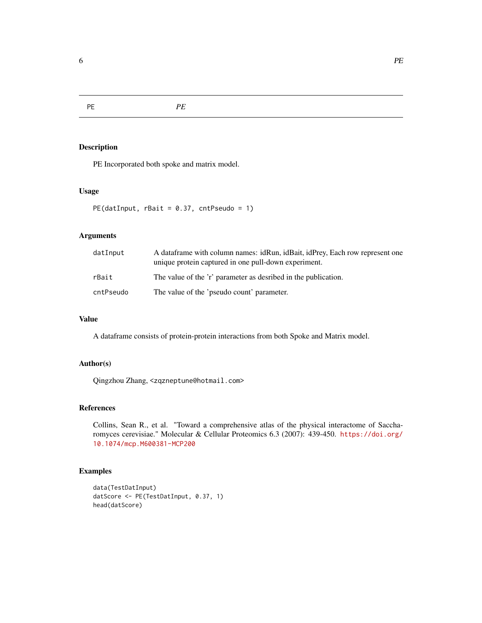<span id="page-5-0"></span>PE *PE*

#### Description

PE Incorporated both spoke and matrix model.

#### Usage

```
PE(datInput, rBait = 0.37, cntPseudo = 1)
```
#### Arguments

| datInput  | A dataframe with column names: idRun, idBait, idPrey, Each row represent one<br>unique protein captured in one pull-down experiment. |
|-----------|--------------------------------------------------------------------------------------------------------------------------------------|
| rBait     | The value of the 'r' parameter as desribed in the publication.                                                                       |
| cntPseudo | The value of the 'pseudo count' parameter.                                                                                           |

#### Value

A dataframe consists of protein-protein interactions from both Spoke and Matrix model.

## Author(s)

Qingzhou Zhang, <zqzneptune@hotmail.com>

#### References

Collins, Sean R., et al. "Toward a comprehensive atlas of the physical interactome of Saccharomyces cerevisiae." Molecular & Cellular Proteomics 6.3 (2007): 439-450. [https://doi.org/](https://doi.org/10.1074/mcp.M600381-MCP200) [10.1074/mcp.M600381-MCP200](https://doi.org/10.1074/mcp.M600381-MCP200)

```
data(TestDatInput)
datScore <- PE(TestDatInput, 0.37, 1)
head(datScore)
```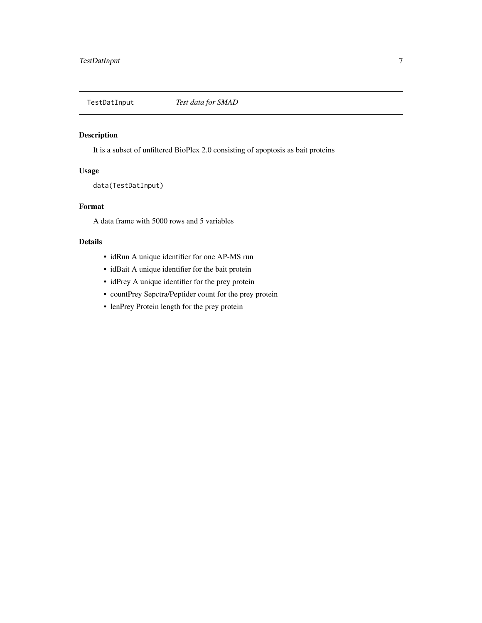<span id="page-6-0"></span>

#### Description

It is a subset of unfiltered BioPlex 2.0 consisting of apoptosis as bait proteins

#### Usage

data(TestDatInput)

#### Format

A data frame with 5000 rows and 5 variables

#### Details

- idRun A unique identifier for one AP-MS run
- idBait A unique identifier for the bait protein
- idPrey A unique identifier for the prey protein
- countPrey Sepctra/Peptider count for the prey protein
- lenPrey Protein length for the prey protein